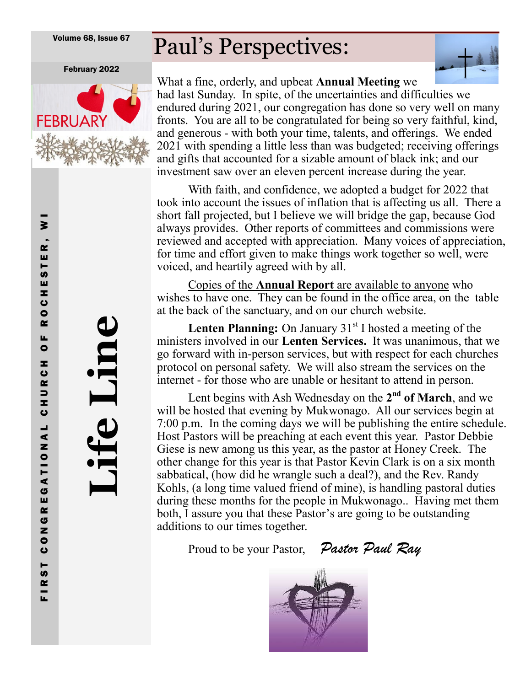Volume 68, Issue 67

## Paul's Perspectives:

February 2022



What a fine, orderly, and upbeat **Annual Meeting** we had last Sunday. In spite, of the uncertainties and difficulties we endured during 2021, our congregation has done so very well on many fronts. You are all to be congratulated for being so very faithful, kind, and generous - with both your time, talents, and offerings. We ended 2021 with spending a little less than was budgeted; receiving offerings and gifts that accounted for a sizable amount of black ink; and our investment saw over an eleven percent increase during the year.

With faith, and confidence, we adopted a budget for 2022 that took into account the issues of inflation that is affecting us all. There a short fall projected, but I believe we will bridge the gap, because God always provides. Other reports of committees and commissions were reviewed and accepted with appreciation. Many voices of appreciation, for time and effort given to make things work together so well, were voiced, and heartily agreed with by all.

Copies of the **Annual Report** are available to anyone who wishes to have one. They can be found in the office area, on the table at the back of the sanctuary, and on our church website.

Lenten Planning: On January 31<sup>st</sup> I hosted a meeting of the ministers involved in our **Lenten Services.** It was unanimous, that we go forward with in-person services, but with respect for each churches protocol on personal safety. We will also stream the services on the internet - for those who are unable or hesitant to attend in person.

Lent begins with Ash Wednesday on the 2<sup>nd</sup> of March, and we will be hosted that evening by Mukwonago. All our services begin at 7:00 p.m. In the coming days we will be publishing the entire schedule. Host Pastors will be preaching at each event this year. Pastor Debbie Giese is new among us this year, as the pastor at Honey Creek. The other change for this year is that Pastor Kevin Clark is on a six month sabbatical, (how did he wrangle such a deal?), and the Rev. Randy Kohls, (a long time valued friend of mine), is handling pastoral duties during these months for the people in Mukwonago.. Having met them both, I assure you that these Pastor's are going to be outstanding additions to our times together.

Proud to be your Pastor, *Pastor Paul Ray*



**Life Line**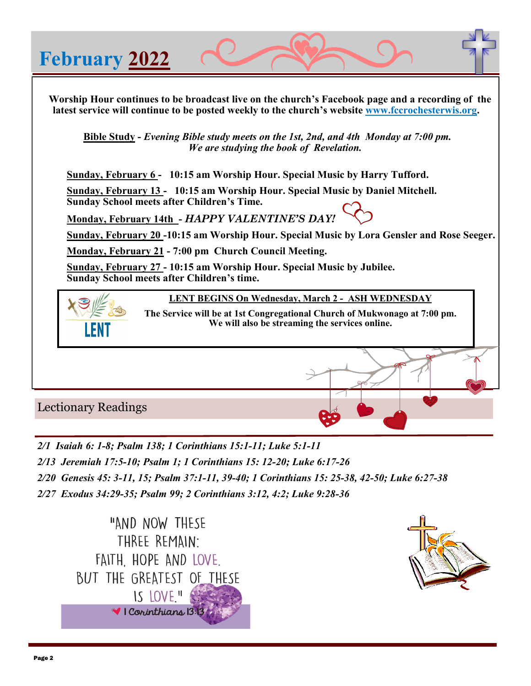### **February 2022**

 **Worship Hour continues to be broadcast live on the church's Facebook page and a recording of the latest service will continue to be posted weekly to the church's website [www.fccrochesterwis.org.](http://www.fccrochesterwis.org)** 

**Bible Study -** *Evening Bible study meets on the 1st, 2nd, and 4th Monday at 7:00 pm. We are studying the book of Revelation.* 

**Sunday, February 6 - 10:15 am Worship Hour. Special Music by Harry Tufford.**

**Sunday, February 13 - 10:15 am Worship Hour. Special Music by Daniel Mitchell. Sunday School meets after Children's Time.**

**Monday, February 14th -** *HAPPY VALENTINE'S DAY!* 

**Sunday, February 20 -10:15 am Worship Hour. Special Music by Lora Gensler and Rose Seeger.** 

**Monday, February 21 - 7:00 pm Church Council Meeting.**

**Sunday, February 27 - 10:15 am Worship Hour. Special Music by Jubilee. Sunday School meets after Children's time.**

**LENT BEGINS On Wednesday, March 2 - ASH WEDNESDAY**

**The Service will be at 1st Congregational Church of Mukwonago at 7:00 pm. We will also be streaming the services online.**

Lectionary Readings

*2/1 Isaiah 6: 1-8; Psalm 138; 1 Corinthians 15:1-11; Luke 5:1-11*

*2/13 Jeremiah 17:5-10; Psalm 1; 1 Corinthians 15: 12-20; Luke 6:17-26*

*2/20 Genesis 45: 3-11, 15; Psalm 37:1-11, 39-40; 1 Corinthians 15: 25-38, 42-50; Luke 6:27-38*

*2/27 Exodus 34:29-35; Psalm 99; 2 Corinthians 3:12, 4:2; Luke 9:28-36*

"AND NOW THESE THREE REMAIN: FAITH HOPE AND LOVE. BUT THE GREATEST OF THESE IS LOVE" 1 Corinthians 13:13

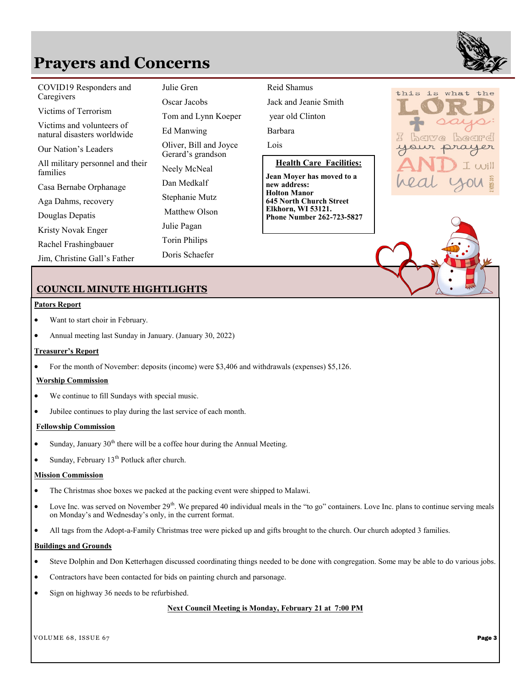### **Prayers and Concerns**

| COVID19 Responders and<br>Caregivers                     | Julie Gren                                  | Reid Shamus<br>Jack and Jeanie Smith<br>year old Clinton                                                        |  |  |
|----------------------------------------------------------|---------------------------------------------|-----------------------------------------------------------------------------------------------------------------|--|--|
| Victims of Terrorism                                     | Oscar Jacobs                                |                                                                                                                 |  |  |
|                                                          | Tom and Lynn Koeper                         |                                                                                                                 |  |  |
| Victims and volunteers of<br>natural disasters worldwide | Ed Manwing                                  | Barbara                                                                                                         |  |  |
| Our Nation's Leaders                                     | Oliver, Bill and Joyce<br>Gerard's grandson | Lois                                                                                                            |  |  |
| All military personnel and their<br>families             | Neely McNeal                                | <b>Health Care Facilities:</b>                                                                                  |  |  |
| Casa Bernabe Orphanage                                   | Dan Medkalf                                 | Jean Moyer has moved to a<br>new address:                                                                       |  |  |
| Aga Dahms, recovery                                      | Stephanie Mutz                              | <b>Holton Manor</b><br><b>645 North Church Street</b><br>Elkhorn, WI 53121.<br><b>Phone Number 262-723-5827</b> |  |  |
| Douglas Depatis                                          | Matthew Olson                               |                                                                                                                 |  |  |
| Kristy Novak Enger                                       | Julie Pagan                                 |                                                                                                                 |  |  |
| Rachel Frashingbauer                                     | <b>Torin Philips</b>                        |                                                                                                                 |  |  |
| Jim, Christine Gall's Father                             | Doris Schaefer                              |                                                                                                                 |  |  |

| Julie Gren                                                     | Reid Shamus                                                                                                                                         |  |  |
|----------------------------------------------------------------|-----------------------------------------------------------------------------------------------------------------------------------------------------|--|--|
| Oscar Jacobs                                                   | Jack and Jeanie Smith                                                                                                                               |  |  |
| Tom and Lynn Koeper                                            | year old Clinton                                                                                                                                    |  |  |
| Ed Manwing                                                     | Barbara                                                                                                                                             |  |  |
| Oliver, Bill and Joyce<br>Gerard's grandson                    | Lois                                                                                                                                                |  |  |
| Neely McNeal<br>Dan Medkalf<br>Stephanie Mutz<br>Matthew Olson | <b>Health Care Facilities:</b><br>Jean Moyer has moved to a<br>new address:<br><b>Holton Manor</b><br>645 North Church Street<br>Elkhorn, WI 53121. |  |  |
| Julie Pagan                                                    | <b>Phone Number 262-723-5827</b>                                                                                                                    |  |  |
|                                                                |                                                                                                                                                     |  |  |



#### **COUNCIL MINUTE HIGHTLIGHTS**

#### **Pators Report**

- Want to start choir in February.
- Annual meeting last Sunday in January. (January 30, 2022)

#### **Treasurer's Report**

• For the month of November: deposits (income) were \$3,406 and withdrawals (expenses) \$5,126.

#### **Worship Commission**

- We continue to fill Sundays with special music.
- Jubilee continues to play during the last service of each month.

#### **Fellowship Commission**

- Sunday, January  $30<sup>th</sup>$  there will be a coffee hour during the Annual Meeting.
- Sunday, February  $13<sup>th</sup>$  Potluck after church.

#### **Mission Commission**

- The Christmas shoe boxes we packed at the packing event were shipped to Malawi.
- Love Inc. was served on November  $29<sup>th</sup>$ . We prepared 40 individual meals in the "to go" containers. Love Inc. plans to continue serving meals on Monday's and Wednesday's only, in the current format.
- All tags from the Adopt-a-Family Christmas tree were picked up and gifts brought to the church. Our church adopted 3 families.

#### **Buildings and Grounds**

- Steve Dolphin and Don Ketterhagen discussed coordinating things needed to be done with congregation. Some may be able to do various jobs.
- Contractors have been contacted for bids on painting church and parsonage.
- Sign on highway 36 needs to be refurbished.

#### **Next Council Meeting is Monday, February 21 at 7:00 PM**

VOLUME 68, ISSUE 67